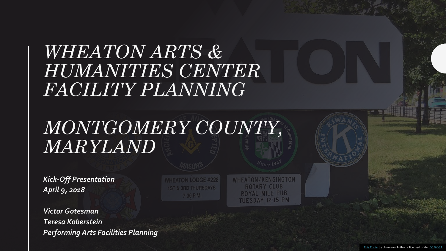#### *WHEATON ARTS & HUMANITIES CENTER FACILITY PLANNING*

#### *MONTGOMERY COUNTY, MARYLAND*

*Kick-Off Presentation April 9, 2018*

*Victor Gotesman Teresa Koberstein Performing Arts Facilities Planning*  **ATON LODGE #228** 7:30 P.M.

**WHEATON/KENSINGTON ROTARY CLUB** ROYAL MILE PUB TUESDAY 12:15 PM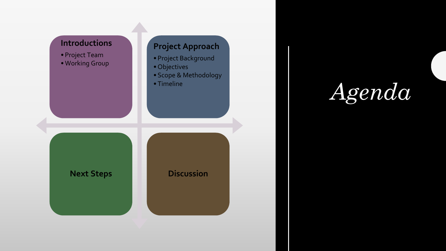

*Agenda*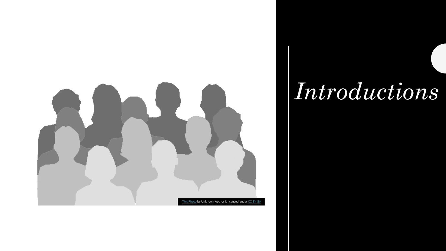

### *Introductions*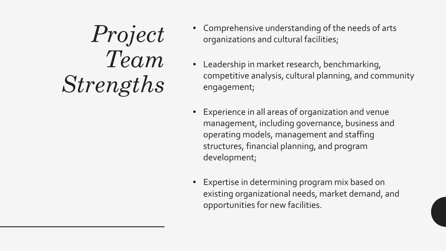*Project Team Strengths*

- Comprehensive understanding of the needs of arts organizations and cultural facilities;
- Leadership in market research, benchmarking, competitive analysis, cultural planning, and community engagement;
- Experience in all areas of organization and venue management, including governance, business and operating models, management and staffing structures, financial planning, and program development;
- Expertise in determining program mix based on existing organizational needs, market demand, and opportunities for new facilities.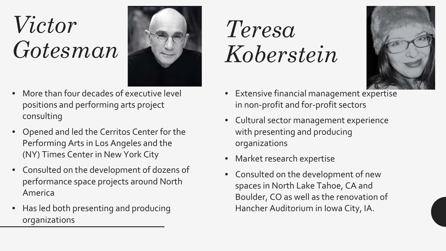# *Victor Gotesman*



- More than four decades of executive level positions and performing arts project consulting
- Opened and led the Cerritos Center for the Performing Arts in Los Angeles and the (NY) Times Center in New York City
- Consulted on the development of dozens of performance space projects around North America
- Has led both presenting and producing organizations

# *Teresa Koberstein*



- Extensive financial management expertise in non-profit and for-profit sectors
- Cultural sector management experience with presenting and producing organizations
- Market research expertise
- Consulted on the development of new spaces in North Lake Tahoe, CA and Boulder, CO as well as the renovation of Hancher Auditorium in Iowa City, IA.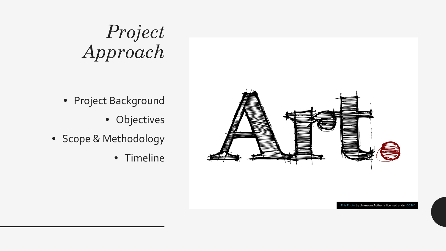### *Project Approach*

- Project Background
	- Objectives
- Scope & Methodology
	- Timeline



[This Photo](http://www.freeimageslive.co.uk/free_stock_image/artjpg) by Unknown Author is licensed under [CC BY](https://creativecommons.org/licenses/by/3.0/)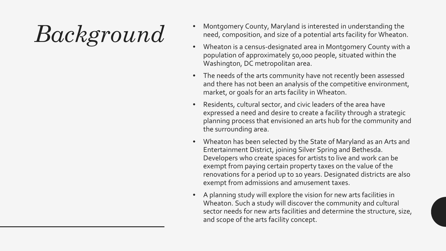- $Backsprod$   $C1$   $\sim$  Montgomery County, Maryland is interested in understanding the<br>
Wheaton is a census-designated area in Montgomery County with need, composition, and size of a potential arts facility for Wheaton.
	- Wheaton is a census-designated area in Montgomery County with a population of approximately 50,000 people, situated within the Washington, DC metropolitan area.
	- The needs of the arts community have not recently been assessed and there has not been an analysis of the competitive environment, market, or goals for an arts facility in Wheaton.
	- Residents, cultural sector, and civic leaders of the area have expressed a need and desire to create a facility through a strategic planning process that envisioned an arts hub for the community and the surrounding area.
	- Wheaton has been selected by the State of Maryland as an Arts and Entertainment District, joining Silver Spring and Bethesda. Developers who create spaces for artists to live and work can be exempt from paying certain property taxes on the value of the renovations for a period up to 10 years. Designated districts are also exempt from admissions and amusement taxes.
	- A planning study will explore the vision for new arts facilities in Wheaton. Such a study will discover the community and cultural sector needs for new arts facilities and determine the structure, size, and scope of the arts facility concept.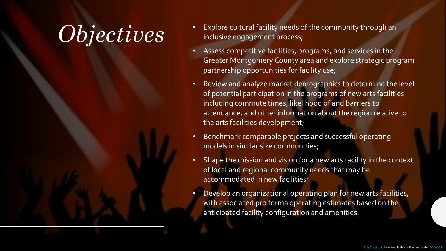- $\it {Objecti}$   $ves$   $\it {``}$  Explore cultural facility needs of the community through an inclusive engagement process; inclusive engagement process;
	- Assess competitive facilities, programs, and services in the Greater Montgomery County area and explore strategic program partnership opportunities for facility use;
	- Review and analyze market demographics to determine the level of potential participation in the programs of new arts facilities including commute times, likelihood of and barriers to attendance, and other information about the region relative to the arts facilities development;
	- Benchmark comparable projects and successful operating models in similar size communities;
	- Shape the mission and vision for a new arts facility in the context of local and regional community needs that may be accommodated in new facilities;
	- Develop an organizational operating plan for new arts facilities, with associated pro forma operating estimates based on the anticipated facility configuration and amenities.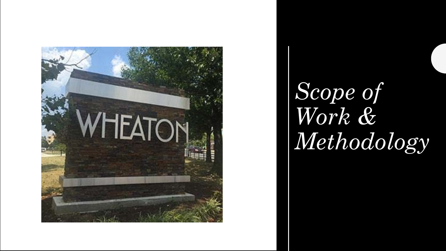

# *Scope of Work & Methodology*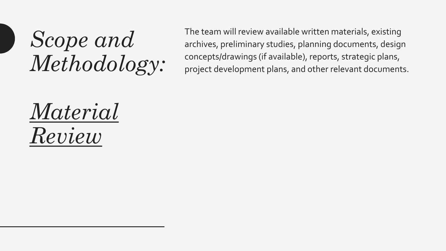The team will review available written materials, existing archives, preliminary studies, planning documents, design concepts/drawings (if available), reports, strategic plans, project development plans, and other relevant documents.

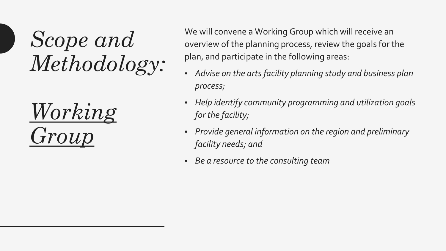

We will convene a Working Group which will receive an overview of the planning process, review the goals for the plan, and participate in the following areas:

- *Advise on the arts facility planning study and business plan process;*
- *Help identify community programming and utilization goals for the facility;*
- *Provide general information on the region and preliminary facility needs; and*
- *Be a resource to the consulting team*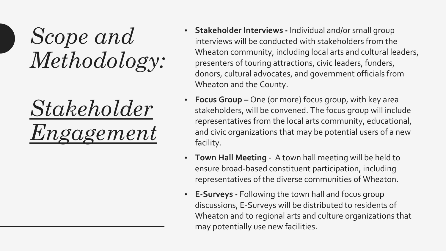

- **Stakeholder Interviews -** Individual and/or small group interviews will be conducted with stakeholders from the Wheaton community, including local arts and cultural leaders, presenters of touring attractions, civic leaders, funders, donors, cultural advocates, and government officials from Wheaton and the County.
- **Focus Group –** One (or more) focus group, with key area stakeholders, will be convened. The focus group will include representatives from the local arts community, educational, and civic organizations that may be potential users of a new facility.
- **Town Hall Meeting**  A town hall meeting will be held to ensure broad-based constituent participation, including representatives of the diverse communities of Wheaton.
- **E-Surveys -** Following the town hall and focus group discussions, E-Surveys will be distributed to residents of Wheaton and to regional arts and culture organizations that may potentially use new facilities.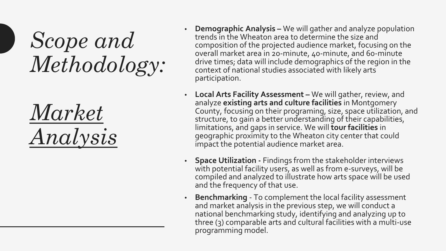

- **Demographic Analysis –** We will gather and analyze population trends in the Wheaton area to determine the size and composition of the projected audience market, focusing on the overall market area in 20-minute, 40-minute, and 60-minute drive times; data will include demographics of the region in the context of national studies associated with likely arts participation.
- **Local Arts Facility Assessment –** We will gather, review, and analyze **existing arts and culture facilities** in Montgomery County, focusing on their programing, size, space utilization, and structure, to gain a better understanding of their capabilities, limitations, and gaps in service. We will **tour facilities** in geographic proximity to the Wheaton city center that could impact the potential audience market area.
- **Space Utilization -** Findings from the stakeholder interviews with potential facility users, as well as from e-surveys, will be compiled and analyzed to illustrate how arts space will be used and the frequency of that use.
- **Benchmarking** To complement the local facility assessment and market analysis in the previous step, we will conduct a national benchmarking study, identifying and analyzing up to three (3) comparable arts and cultural facilities with a multi-use programming model.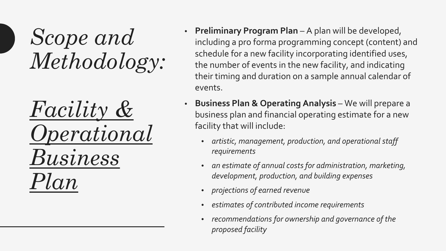*Facility & Operational Business Plan*

- **Preliminary Program Plan**  A plan will be developed, including a pro forma programming concept (content) and schedule for a new facility incorporating identified uses, the number of events in the new facility, and indicating their timing and duration on a sample annual calendar of events.
- **Business Plan & Operating Analysis**  We will prepare a business plan and financial operating estimate for a new facility that will include:
	- *artistic, management, production, and operational staff requirements*
	- *an estimate of annual costs for administration, marketing, development, production, and building expenses*
	- *projections of earned revenue*
	- *estimates of contributed income requirements*
	- *recommendations for ownership and governance of the proposed facility*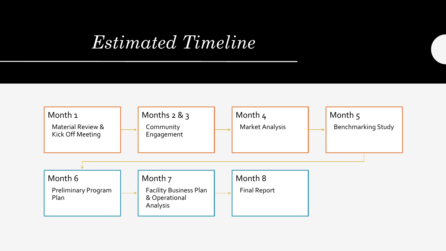#### *Estimated Timeline*

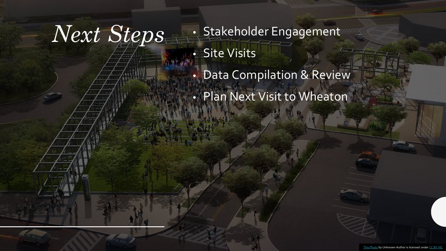*Next Steps* • Stakeholder Engagement • Site Visits

- Data Compilation & Review
- Plan Next Visit to Wheaton